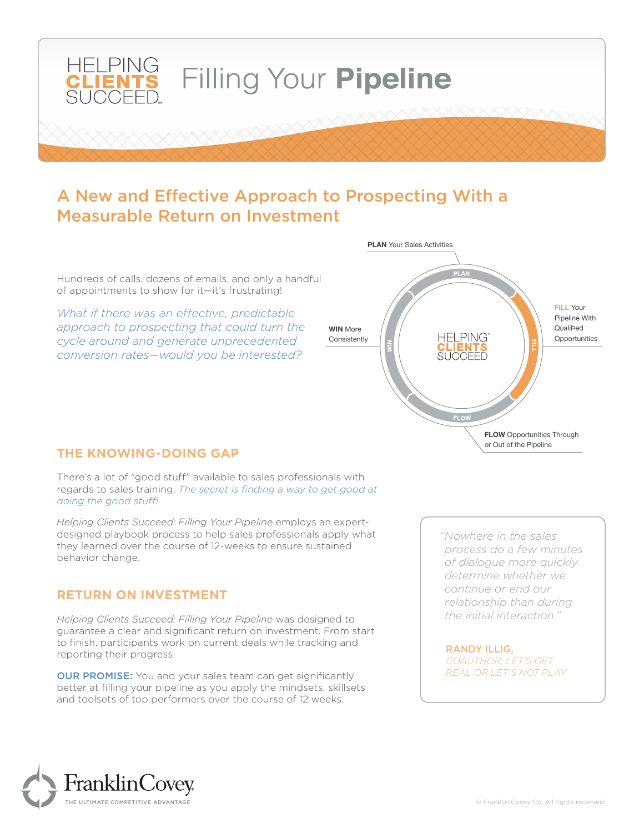

## A New and Effective Approach to Prospecting With a Measurable Return on Investment

Hundreds of calls, dozens of emails, and only a handful of appointments to show for it—it's frustrating!

*What if there was an effective, predictable approach to prospecting that could turn the cycle around and generate unprecedented conversion rates—would you be interested?*



#### **THE KNOWING-DOING GAP**

There's a lot of "good stuff" available to sales professionals with regards to sales training. *The secret is finding a way to get good at doing the good stuff!* 

*Helping Clients Succeed: Filling Your Pipeline* employs an expertdesigned playbook process to help sales professionals apply what they learned over the course of 12-weeks to ensure sustained behavior change.

#### **RETURN ON INVESTMENT**

*Helping Clients Succeed: Filling Your Pipeline* was designed to guarantee a clear and significant return on investment. From start to finish, participants work on current deals while tracking and reporting their progress.

**OUR PROMISE:** You and your sales team can get significantly better at filling your pipeline as you apply the mindsets, skillsets and toolsets of top performers over the course of 12 weeks.

*"Nowhere in the sales process do a few minutes of dialogue more quickly determine whether we continue or end our relationship than during the initial interaction."*

RANDY ILLIG, *COAUTHOR, LET'S GET REAL OR LET'S NOT PLAY*

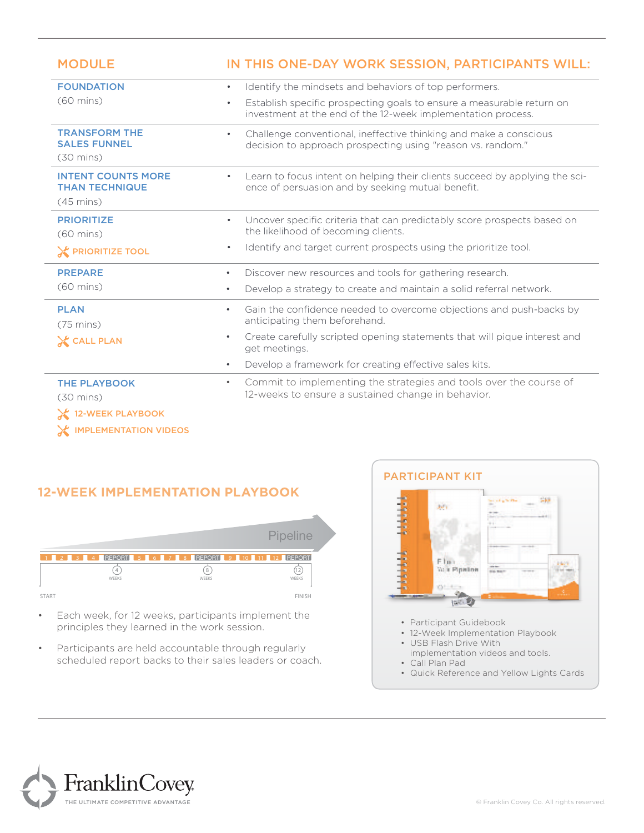| <b>MODULE</b>                                                             | IN THIS ONE-DAY WORK SESSION, PARTICIPANTS WILL:                                                                                                   |
|---------------------------------------------------------------------------|----------------------------------------------------------------------------------------------------------------------------------------------------|
| <b>FOUNDATION</b>                                                         | Identify the mindsets and behaviors of top performers.<br>$\bullet$                                                                                |
| $(60 \text{ mins})$                                                       | Establish specific prospecting goals to ensure a measurable return on<br>$\bullet$<br>investment at the end of the 12-week implementation process. |
| <b>TRANSFORM THE</b><br><b>SALES FUNNEL</b><br>$(30 \text{ mins})$        | Challenge conventional, ineffective thinking and make a conscious<br>$\bullet$<br>decision to approach prospecting using "reason vs. random."      |
| <b>INTENT COUNTS MORE</b><br><b>THAN TECHNIQUE</b><br>$(45 \text{ mins})$ | Learn to focus intent on helping their clients succeed by applying the sci-<br>$\bullet$<br>ence of persuasion and by seeking mutual benefit.      |
| <b>PRIORITIZE</b><br>$(60 \text{ mins})$                                  | Uncover specific criteria that can predictably score prospects based on<br>$\bullet$<br>the likelihood of becoming clients.                        |
| <b>EX PRIORITIZE TOOL</b>                                                 | Identify and target current prospects using the prioritize tool.<br>$\bullet$                                                                      |
| <b>PREPARE</b><br>$(60 \text{ mins})$                                     | Discover new resources and tools for gathering research.<br>$\bullet$                                                                              |
|                                                                           | Develop a strategy to create and maintain a solid referral network.<br>$\bullet$                                                                   |
| <b>PLAN</b><br>$(75 \text{ mins})$                                        | Gain the confidence needed to overcome objections and push-backs by<br>$\bullet$<br>anticipating them beforehand.                                  |
| <b>CALL PLAN</b>                                                          | Create carefully scripted opening statements that will pique interest and<br>$\bullet$<br>get meetings.                                            |
|                                                                           | Develop a framework for creating effective sales kits.<br>$\bullet$                                                                                |
| <b>THE PLAYBOOK</b><br>$(30 \text{ mins})$                                | Commit to implementing the strategies and tools over the course of<br>$\bullet$<br>12-weeks to ensure a sustained change in behavior.              |
| 12-WEEK PLAYBOOK                                                          |                                                                                                                                                    |

**EX IMPLEMENTATION VIDEOS** 

### **12-WEEK IMPLEMENTATION PLAYBOOK**



- Each week, for 12 weeks, participants implement the principles they learned in the work session.
- Participants are held accountable through regularly scheduled report backs to their sales leaders or coach.